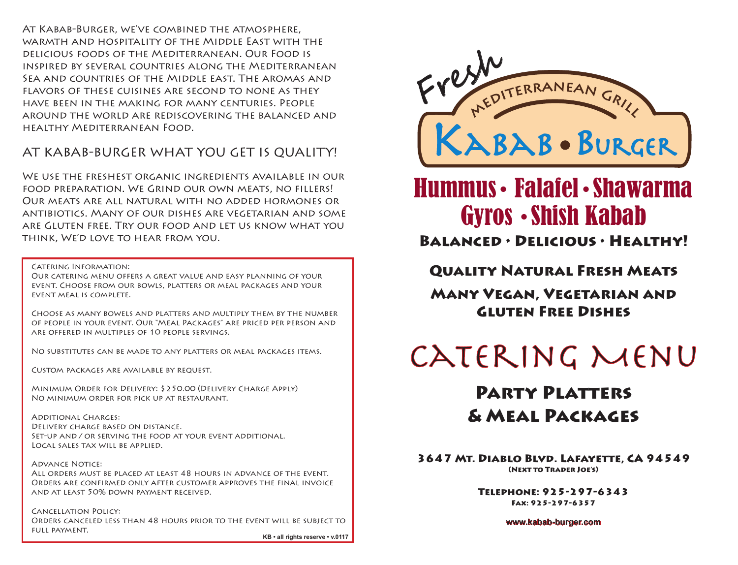Balanced • Delicious • Healthy!

Quality Natural Fresh Meats Many Vegan, Vegetarian and Gluten Free Dishes

3647 Mt. Diablo Blvd. Lafayette, CA 94549 (Next to Trader Joe's)

> Telephone: 925-297-6343 Fax: 925-297-6357

> > **www.kabab-burger.com**

## Party Platters

## & Meal Packages

At Kabab-Burger, we've combined the atmosphere, warmth and hospitality of the Middle East with the delicious foods of the Mediterranean. Our Food is inspired by several countries along the Mediterranean Sea and countries of the Middle east. The aromas and flavors of these cuisines are second to none as they have been in the making for many centuries. People around the world are rediscovering the balanced and healthy Mediterranean Food.

### AT KABAB-BURGER WHAT YOU GET IS QUALITY!

We use the freshest organic ingredients available in our food preparation. We Grind our own meats, no fillers! Our meats are all natural with no added hormones or antibiotics. Many of our dishes are vegetarian and some are Gluten free. Try our food and let us know what you think, We'd love to hear from you.

**ADVANCE NOTICE:** All orders must be placed at least 48 hours in advance of the event. Orders are confirmed only after customer approves the final invoice and at least 50% down payment received.

Catering Information:

Our catering menu offers a great value and easy planning of your event. Choose from our bowls, platters or meal packages and your event meal is complete.

Choose as many bowels and platters and multiply them by the number of people in your event. Our "Meal Packages" are priced per person and are offered in multiples of 10 people servings.

No substitutes can be made to any platters or meal packages items.

Custom packages are available by request.

Minimum Order for Delivery: \$250.00 (Delivery Charge Apply) No minimum order for pick up at restaurant.

Additional Charges: Delivery charge based on distance. Set-up and / or serving the food at your event additional. Local sales tax will be applied.

Cancellation Policy: Orders canceled less than 48 hours prior to the event will be subject to full payment.

# Hummus • Falafel • Shawarma Gyros • Shish Kabab

**KB • all rights reserve • v.0117**

# CATERING MENU